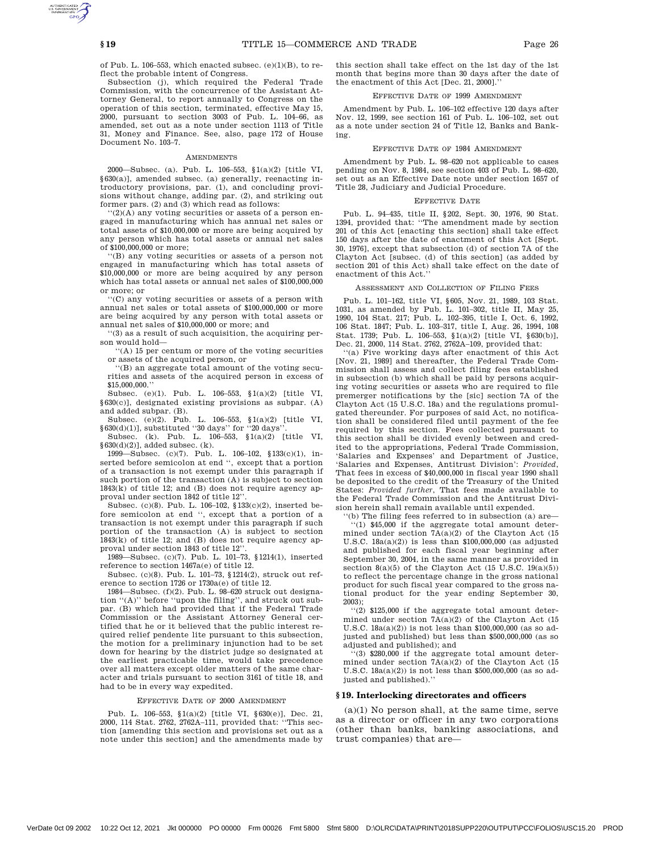of Pub. L. 106–553, which enacted subsec. (e)(1)(B), to reflect the probable intent of Congress.

Subsection (j), which required the Federal Trade Commission, with the concurrence of the Assistant Attorney General, to report annually to Congress on the operation of this section, terminated, effective May 15, 2000, pursuant to section 3003 of Pub. L. 104–66, as amended, set out as a note under section 1113 of Title 31, Money and Finance. See, also, page 172 of House Document No. 103–7.

#### AMENDMENTS

2000—Subsec. (a). Pub. L. 106–553, §1(a)(2) [title VI, §630(a)], amended subsec. (a) generally, reenacting introductory provisions, par. (1), and concluding provisions without change, adding par. (2), and striking out former pars. (2) and (3) which read as follows:

 $'(2)(A)$  any voting securities or assets of a person engaged in manufacturing which has annual net sales or total assets of \$10,000,000 or more are being acquired by any person which has total assets or annual net sales of \$100,000,000 or more;

''(B) any voting securities or assets of a person not engaged in manufacturing which has total assets of \$10,000,000 or more are being acquired by any person which has total assets or annual net sales of \$100,000,000 or more; or

''(C) any voting securities or assets of a person with annual net sales or total assets of \$100,000,000 or more are being acquired by any person with total assets or annual net sales of \$10,000,000 or more; and

''(3) as a result of such acquisition, the acquiring person would hold—

''(A) 15 per centum or more of the voting securities or assets of the acquired person, or

''(B) an aggregate total amount of the voting securities and assets of the acquired person in excess of \$15,000,000.''

Subsec. (e)(1). Pub. L. 106–553, §1(a)(2) [title VI, §630(c)], designated existing provisions as subpar. (A) and added subpar. (B).

Subsec. (e)(2). Pub. L. 106–553, §1(a)(2) [title VI,  $§630(d)(1)$ , substituted "30 days" for "20 days".

Subsec. (k). Pub. L. 106–553, §1(a)(2) [title VI,  $§630(d)(2)$ ], added subsec. (k).

1999—Subsec. (c)(7). Pub. L. 106–102, §133(c)(1), inserted before semicolon at end '', except that a portion of a transaction is not exempt under this paragraph if such portion of the transaction (A) is subject to section 1843(k) of title 12; and (B) does not require agency approval under section 1842 of title 12''.

Subsec. (c)(8). Pub. L. 106–102, §133(c)(2), inserted before semicolon at end '', except that a portion of a transaction is not exempt under this paragraph if such portion of the transaction (A) is subject to section 1843(k) of title 12; and (B) does not require agency approval under section 1843 of title 12''.

1989—Subsec. (c)(7). Pub. L. 101–73, §1214(1), inserted reference to section 1467a(e) of title 12.

Subsec. (c)(8). Pub. L. 101–73, §1214(2), struck out reference to section 1726 or 1730a(e) of title 12.

1984—Subsec. (f)(2). Pub. L. 98–620 struck out designa-tion ''(A)'' before ''upon the filing'', and struck out subpar. (B) which had provided that if the Federal Trade Commission or the Assistant Attorney General certified that he or it believed that the public interest required relief pendente lite pursuant to this subsection, the motion for a preliminary injunction had to be set down for hearing by the district judge so designated at the earliest practicable time, would take precedence over all matters except older matters of the same character and trials pursuant to section 3161 of title 18, and had to be in every way expedited.

#### EFFECTIVE DATE OF 2000 AMENDMENT

Pub. L. 106–553, §1(a)(2) [title VI, §630(e)], Dec. 21, 2000, 114 Stat. 2762, 2762A–111, provided that: ''This section [amending this section and provisions set out as a note under this section] and the amendments made by this section shall take effect on the 1st day of the 1st month that begins more than 30 days after the date of the enactment of this Act [Dec. 21, 2000].''

## EFFECTIVE DATE OF 1999 AMENDMENT

Amendment by Pub. L. 106–102 effective 120 days after Nov. 12, 1999, see section 161 of Pub. L. 106–102, set out as a note under section 24 of Title 12, Banks and Banking.

# EFFECTIVE DATE OF 1984 AMENDMENT

Amendment by Pub. L. 98–620 not applicable to cases pending on Nov. 8, 1984, see section 403 of Pub. L. 98–620, set out as an Effective Date note under section 1657 of Title 28, Judiciary and Judicial Procedure.

#### EFFECTIVE DATE

Pub. L. 94–435, title II, §202, Sept. 30, 1976, 90 Stat. 1394, provided that: ''The amendment made by section 201 of this Act [enacting this section] shall take effect 150 days after the date of enactment of this Act [Sept. 30, 1976], except that subsection (d) of section 7A of the Clayton Act [subsec. (d) of this section] (as added by section 201 of this Act) shall take effect on the date of enactment of this Act.''

## ASSESSMENT AND COLLECTION OF FILING FEES

Pub. L. 101–162, title VI, §605, Nov. 21, 1989, 103 Stat. 1031, as amended by Pub. L. 101–302, title II, May 25, 1990, 104 Stat. 217; Pub. L. 102–395, title I, Oct. 6, 1992, 106 Stat. 1847; Pub. L. 103–317, title I, Aug. 26, 1994, 108 Stat. 1739; Pub. L. 106–553, §1(a)(2) [title VI, §630(b)], Dec. 21, 2000, 114 Stat. 2762, 2762A–109, provided that:

''(a) Five working days after enactment of this Act [Nov. 21, 1989] and thereafter, the Federal Trade Commission shall assess and collect filing fees established in subsection (b) which shall be paid by persons acquiring voting securities or assets who are required to file premerger notifications by the [sic] section 7A of the Clayton Act (15 U.S.C. 18a) and the regulations promulgated thereunder. For purposes of said Act, no notification shall be considered filed until payment of the fee required by this section. Fees collected pursuant to this section shall be divided evenly between and credited to the appropriations, Federal Trade Commission, 'Salaries and Expenses' and Department of Justice, 'Salaries and Expenses, Antitrust Division': *Provided*, That fees in excess of \$40,000,000 in fiscal year 1990 shall be deposited to the credit of the Treasury of the United States: *Provided further*, That fees made available to the Federal Trade Commission and the Antitrust Division herein shall remain available until expended.

 $f(b)$  The filing fees referred to in subsection (a) are-''(1) \$45,000 if the aggregate total amount determined under section 7A(a)(2) of the Clayton Act (15 U.S.C. 18a(a)(2)) is less than \$100,000,000 (as adjusted and published for each fiscal year beginning after September 30, 2004, in the same manner as provided in section  $8(a)(5)$  of the Clayton Act (15 U.S.C.  $19(a)(5)$ ) to reflect the percentage change in the gross national product for such fiscal year compared to the gross national product for the year ending September 30, 2003);

''(2) \$125,000 if the aggregate total amount determined under section  $7A(a)(2)$  of the Clayton Act (15 U.S.C. 18a(a)(2)) is not less than \$100,000,000 (as so adjusted and published) but less than \$500,000,000 (as so adjusted and published); and

''(3) \$280,000 if the aggregate total amount determined under section 7A(a)(2) of the Clayton Act (15 U.S.C. 18a(a)(2)) is not less than \$500,000,000 (as so adjusted and published).''

## **§ 19. Interlocking directorates and officers**

(a)(1) No person shall, at the same time, serve as a director or officer in any two corporations (other than banks, banking associations, and trust companies) that are—